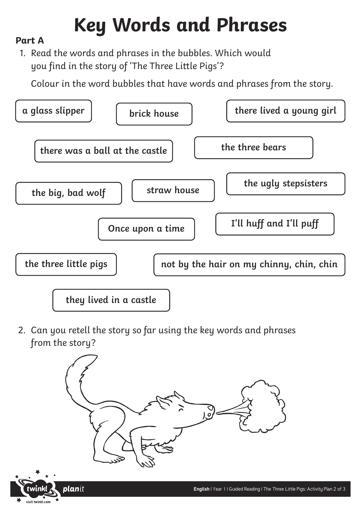# **Key Words and Phrases**

### **Part A**

1. Read the words and phrases in the bubbles. Which would you find in the story of 'The Three Little Pigs'?

Colour in the word bubbles that have words and phrases from the story.



2. Can you retell the story so far using the key words and phrases from the story?

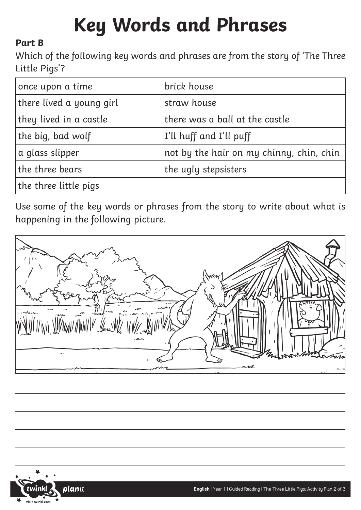# **Key Words and Phrases**

### **Part B**

Which of the following key words and phrases are from the story of 'The Three Little Pigs'?

| once upon a time         | brick house                              |
|--------------------------|------------------------------------------|
| there lived a young girl | straw house                              |
| they lived in a castle   | there was a ball at the castle           |
| the big, bad wolf        | I'll huff and I'll puff                  |
| a glass slipper          | not by the hair on my chinny, chin, chin |
| the three bears          | the ugly stepsisters                     |
| the three little pigs    |                                          |

Use some of the key words or phrases from the story to write about what is happening in the following picture.

 $\mathcal{L}$ 

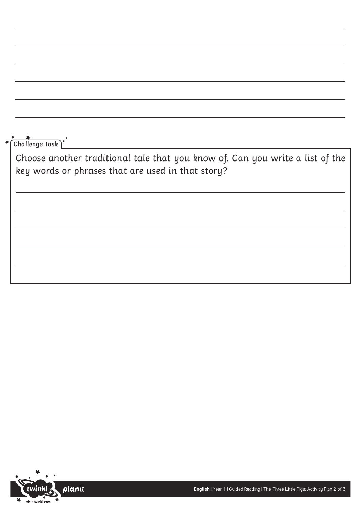**Challenge Task**

Choose another traditional tale that you know of. Can you write a list of the key words or phrases that are used in that story?